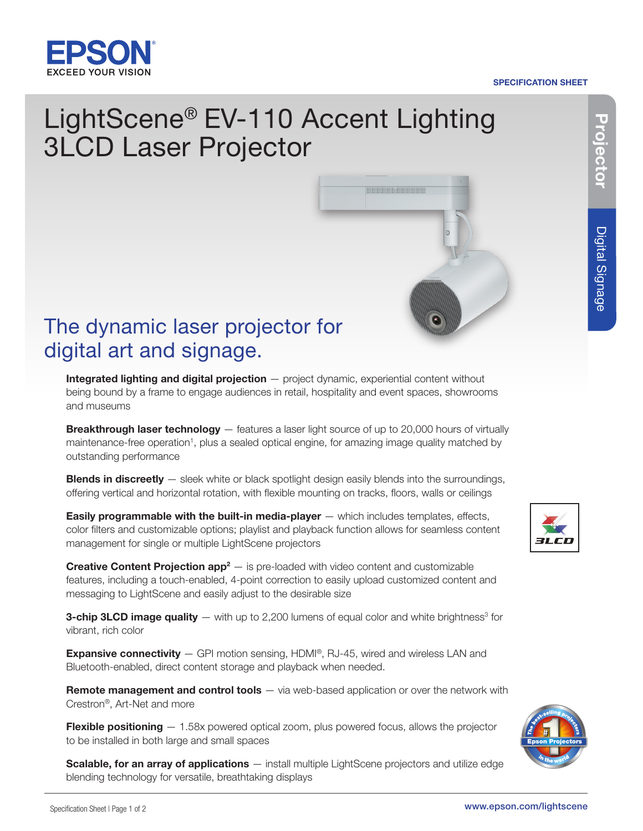

# SPECIFICATION SHEET

Digital Signage

Digital Signage

# The dynamic laser projector for digital art and signage.

3LCD Laser Projector

Integrated lighting and digital projection — project dynamic, experiential content without being bound by a frame to engage audiences in retail, hospitality and event spaces, showrooms and museums

LightScene® EV-110 Accent Lighting

**Breakthrough laser technology** — features a laser light source of up to 20,000 hours of virtually maintenance-free operation<sup>1</sup>, plus a sealed optical engine, for amazing image quality matched by outstanding performance

**Blends in discreetly** — sleek white or black spotlight design easily blends into the surroundings, offering vertical and horizontal rotation, with flexible mounting on tracks, floors, walls or ceilings

**Easily programmable with the built-in media-player**  $-$  which includes templates, effects, color filters and customizable options; playlist and playback function allows for seamless content management for single or multiple LightScene projectors

**Creative Content Projection app<sup>2</sup>**  $-$  is pre-loaded with video content and customizable features, including a touch-enabled, 4-point correction to easily upload customized content and messaging to LightScene and easily adjust to the desirable size

**3-chip 3LCD image quality**  $-$  with up to 2,200 lumens of equal color and white brightness<sup>3</sup> for vibrant, rich color

**Expansive connectivity**  $-$  GPI motion sensing, HDMI®, RJ-45, wired and wireless LAN and Bluetooth-enabled, direct content storage and playback when needed.

**Remote management and control tools** — via web-based application or over the network with Crestron®, Art-Net and more

Flexible positioning  $-1.58x$  powered optical zoom, plus powered focus, allows the projector to be installed in both large and small spaces

Scalable, for an array of applications — install multiple LightScene projectors and utilize edge blending technology for versatile, breathtaking displays